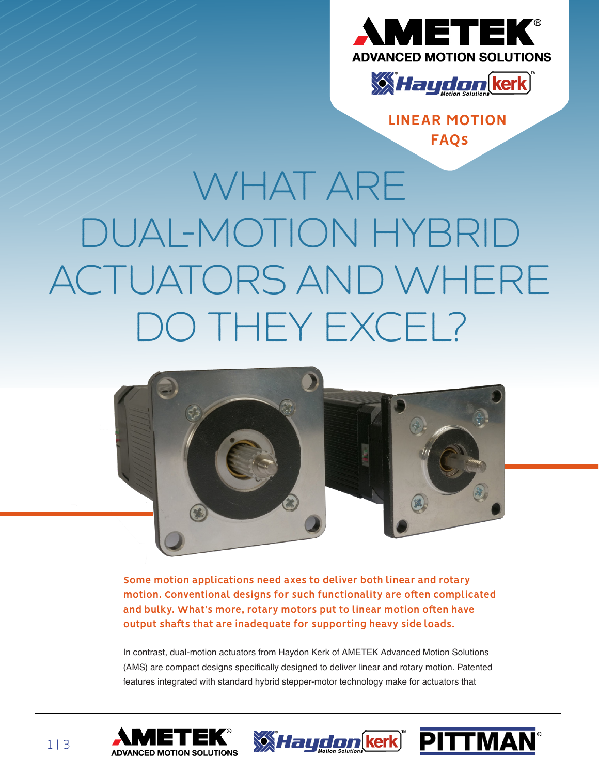



**[LINEAR MOTION](https://www.haydonkerkpittman.com/learningzone) FAQs**

# WHAT ARE DUAL-MOTION HYBRID ACTUATORS AND WHERE DO THEY EXCEL?



**Some motion applications need axes to deliver both linear and rotary motion. Conventional designs for such functionality are often complicated and bulky. What's more, rotary motors put to linear motion often have output shafts that are inadequate for supporting heavy side loads.**

In contrast, dual-motion actuators from Haydon Kerk of AMETEK Advanced Motion Solutions (AMS) are compact designs specifically designed to deliver linear and rotary motion. Patented features integrated with standard hybrid stepper-motor technology make for actuators that





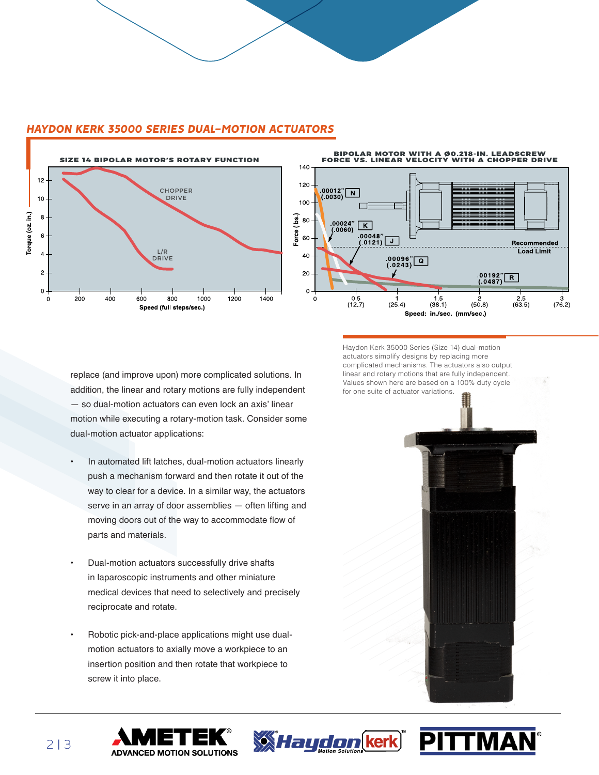

### *HAYDON KERK 35000 SERIES DUAL-MOTION ACTUATORS*



replace (and improve upon) more complicated solutions. In addition, the linear and rotary motions are fully independent — so dual-motion actuators can even lock an axis' linear motion while executing a rotary-motion task. Consider some dual-motion actuator applications:

- In automated lift latches, dual-motion actuators linearly push a mechanism forward and then rotate it out of the way to clear for a device. In a similar way, the actuators serve in an array of door assemblies — often lifting and moving doors out of the way to accommodate flow of parts and materials.
- Dual-motion actuators successfully drive shafts in laparoscopic instruments and other miniature medical devices that need to selectively and precisely reciprocate and rotate.
- Robotic pick-and-place applications might use dualmotion actuators to axially move a workpiece to an insertion position and then rotate that workpiece to screw it into place.

**ADVANCED MOTION SOLUTIONS** 

Haydon Kerk 35000 Series (Size 14) dual-motion actuators simplify designs by replacing more complicated mechanisms. The actuators also output linear and rotary motions that are fully independent. Values shown here are based on a 100% duty cycle for one suite of actuator variations.